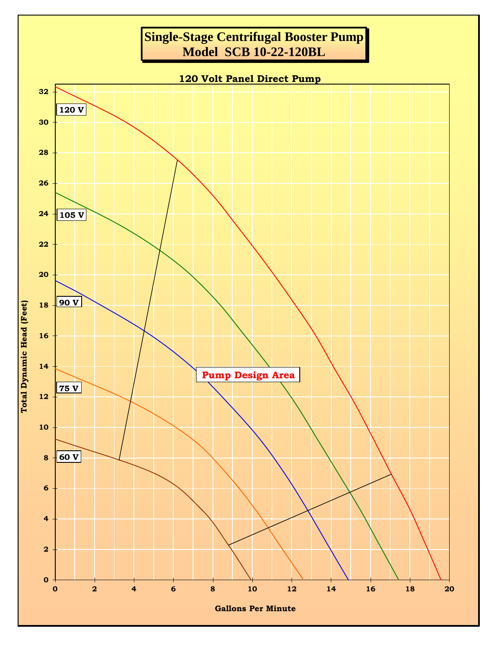